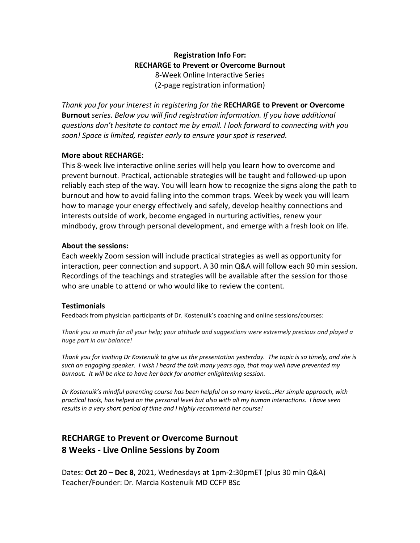## **Registration Info For: RECHARGE to Prevent or Overcome Burnout** 8-Week Online Interactive Series (2-page registration information)

*Thank you for your interest in registering for the* **RECHARGE to Prevent or Overcome Burnout** *series. Below you will find registration information. If you have additional questions don't hesitate to contact me by email. I look forward to connecting with you soon! Space is limited, register early to ensure your spot is reserved.*

## **More about RECHARGE:**

This 8-week live interactive online series will help you learn how to overcome and prevent burnout. Practical, actionable strategies will be taught and followed-up upon reliably each step of the way. You will learn how to recognize the signs along the path to burnout and how to avoid falling into the common traps. Week by week you will learn how to manage your energy effectively and safely, develop healthy connections and interests outside of work, become engaged in nurturing activities, renew your mindbody, grow through personal development, and emerge with a fresh look on life.

## **About the sessions:**

Each weekly Zoom session will include practical strategies as well as opportunity for interaction, peer connection and support. A 30 min Q&A will follow each 90 min session. Recordings of the teachings and strategies will be available after the session for those who are unable to attend or who would like to review the content.

### **Testimonials**

Feedback from physician participants of Dr. Kostenuik's coaching and online sessions/courses:

*Thank you so much for all your help; your attitude and suggestions were extremely precious and played a huge part in our balance!*

*Thank you for inviting Dr Kostenuik to give us the presentation yesterday. The topic is so timely, and she is such an engaging speaker. I wish I heard the talk many years ago, that may well have prevented my burnout. It will be nice to have her back for another enlightening session.*

*Dr Kostenuik's mindful parenting course has been helpful on so many levels…Her simple approach, with practical tools, has helped on the personal level but also with all my human interactions. I have seen results in a very short period of time and I highly recommend her course!*

# **RECHARGE to Prevent or Overcome Burnout 8 Weeks - Live Online Sessions by Zoom**

Dates: **Oct 20 – Dec 8**, 2021, Wednesdays at 1pm-2:30pmET (plus 30 min Q&A) Teacher/Founder: Dr. Marcia Kostenuik MD CCFP BSc